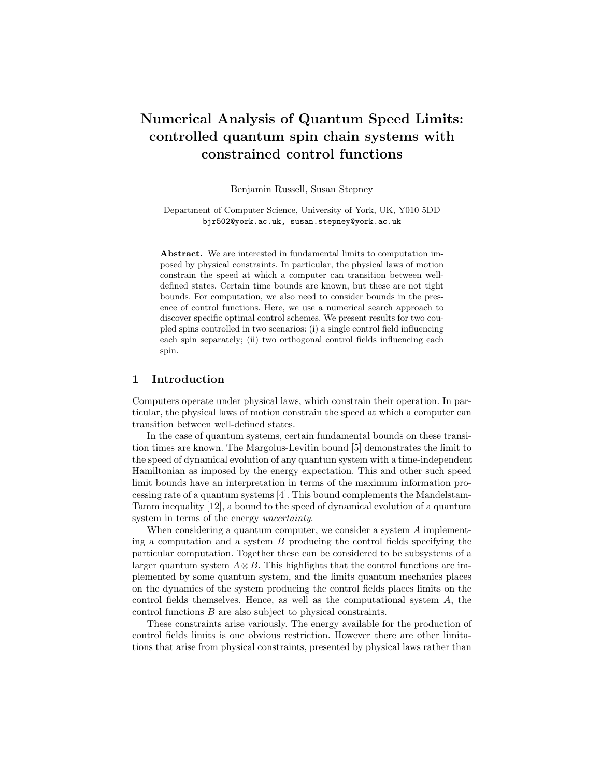# Numerical Analysis of Quantum Speed Limits: controlled quantum spin chain systems with constrained control functions

Benjamin Russell, Susan Stepney

Department of Computer Science, University of York, UK, Y010 5DD bjr502@york.ac.uk, susan.stepney@york.ac.uk

Abstract. We are interested in fundamental limits to computation imposed by physical constraints. In particular, the physical laws of motion constrain the speed at which a computer can transition between welldefined states. Certain time bounds are known, but these are not tight bounds. For computation, we also need to consider bounds in the presence of control functions. Here, we use a numerical search approach to discover specific optimal control schemes. We present results for two coupled spins controlled in two scenarios: (i) a single control field influencing each spin separately; (ii) two orthogonal control fields influencing each spin.

## 1 Introduction

Computers operate under physical laws, which constrain their operation. In particular, the physical laws of motion constrain the speed at which a computer can transition between well-defined states.

In the case of quantum systems, certain fundamental bounds on these transition times are known. The Margolus-Levitin bound [5] demonstrates the limit to the speed of dynamical evolution of any quantum system with a time-independent Hamiltonian as imposed by the energy expectation. This and other such speed limit bounds have an interpretation in terms of the maximum information processing rate of a quantum systems [4]. This bound complements the Mandelstam-Tamm inequality [12], a bound to the speed of dynamical evolution of a quantum system in terms of the energy *uncertainty*.

When considering a quantum computer, we consider a system A implementing a computation and a system  $B$  producing the control fields specifying the particular computation. Together these can be considered to be subsystems of a larger quantum system  $A \otimes B$ . This highlights that the control functions are implemented by some quantum system, and the limits quantum mechanics places on the dynamics of the system producing the control fields places limits on the control fields themselves. Hence, as well as the computational system A, the control functions B are also subject to physical constraints.

These constraints arise variously. The energy available for the production of control fields limits is one obvious restriction. However there are other limitations that arise from physical constraints, presented by physical laws rather than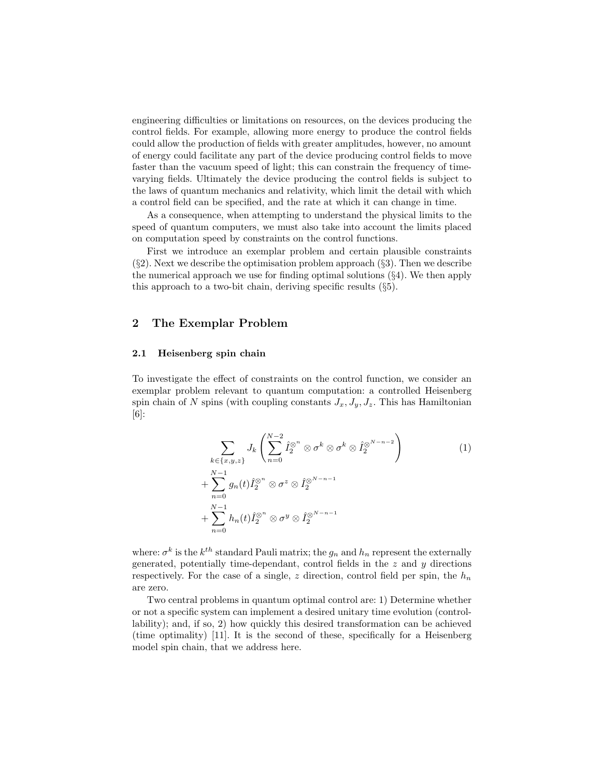engineering difficulties or limitations on resources, on the devices producing the control fields. For example, allowing more energy to produce the control fields could allow the production of fields with greater amplitudes, however, no amount of energy could facilitate any part of the device producing control fields to move faster than the vacuum speed of light; this can constrain the frequency of timevarying fields. Ultimately the device producing the control fields is subject to the laws of quantum mechanics and relativity, which limit the detail with which a control field can be specified, and the rate at which it can change in time.

As a consequence, when attempting to understand the physical limits to the speed of quantum computers, we must also take into account the limits placed on computation speed by constraints on the control functions.

First we introduce an exemplar problem and certain plausible constraints  $(\S2)$ . Next we describe the optimisation problem approach  $(\S3)$ . Then we describe the numerical approach we use for finding optimal solutions (§4). We then apply this approach to a two-bit chain, deriving specific results  $(\S 5)$ .

## 2 The Exemplar Problem

#### 2.1 Heisenberg spin chain

To investigate the effect of constraints on the control function, we consider an exemplar problem relevant to quantum computation: a controlled Heisenberg spin chain of N spins (with coupling constants  $J_x, J_y, J_z$ . This has Hamiltonian [6]:

$$
\sum_{k \in \{x, y, z\}} J_k \left( \sum_{n=0}^{N-2} \hat{I}_2^{\otimes^n} \otimes \sigma^k \otimes \hat{\sigma}^k \otimes \hat{I}_2^{\otimes^{N-n-2}} \right) \tag{1}
$$
\n
$$
+ \sum_{n=0}^{N-1} g_n(t) \hat{I}_2^{\otimes^n} \otimes \sigma^z \otimes \hat{I}_2^{\otimes^{N-n-1}}
$$
\n
$$
+ \sum_{n=0}^{N-1} h_n(t) \hat{I}_2^{\otimes^n} \otimes \sigma^y \otimes \hat{I}_2^{\otimes^{N-n-1}}
$$

where:  $\sigma^k$  is the  $k^{th}$  standard Pauli matrix; the  $g_n$  and  $h_n$  represent the externally generated, potentially time-dependant, control fields in the  $z$  and  $y$  directions respectively. For the case of a single, z direction, control field per spin, the  $h_n$ are zero.

Two central problems in quantum optimal control are: 1) Determine whether or not a specific system can implement a desired unitary time evolution (controllability); and, if so, 2) how quickly this desired transformation can be achieved (time optimality) [11]. It is the second of these, specifically for a Heisenberg model spin chain, that we address here.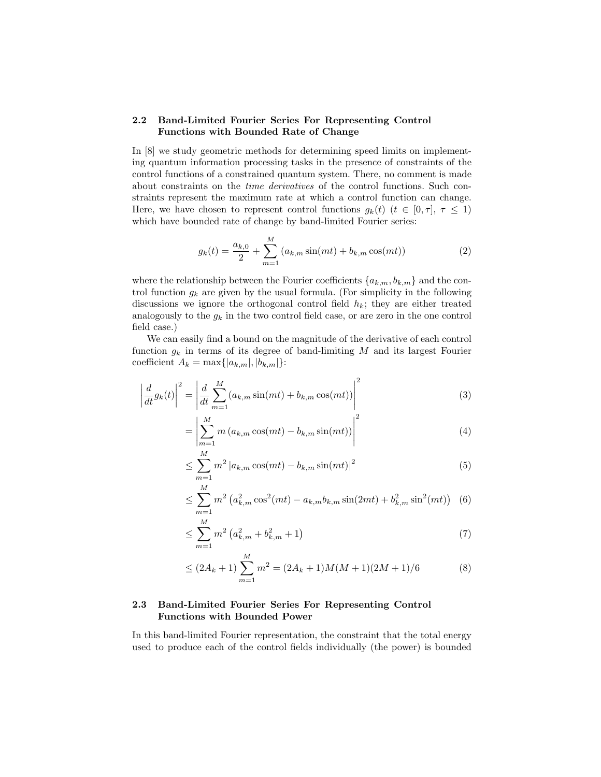## 2.2 Band-Limited Fourier Series For Representing Control Functions with Bounded Rate of Change

In [8] we study geometric methods for determining speed limits on implementing quantum information processing tasks in the presence of constraints of the control functions of a constrained quantum system. There, no comment is made about constraints on the time derivatives of the control functions. Such constraints represent the maximum rate at which a control function can change. Here, we have chosen to represent control functions  $g_k(t)$   $(t \in [0, \tau], \tau \leq 1)$ which have bounded rate of change by band-limited Fourier series:

$$
g_k(t) = \frac{a_{k,0}}{2} + \sum_{m=1}^{M} (a_{k,m} \sin(mt) + b_{k,m} \cos(mt))
$$
 (2)

where the relationship between the Fourier coefficients  $\{a_{k,m}, b_{k,m}\}$  and the control function  $g_k$  are given by the usual formula. (For simplicity in the following discussions we ignore the orthogonal control field  $h_k$ ; they are either treated analogously to the  $g_k$  in the two control field case, or are zero in the one control field case.)

We can easily find a bound on the magnitude of the derivative of each control function  $g_k$  in terms of its degree of band-limiting M and its largest Fourier coefficient  $A_k = \max\{|a_{k,m}|, |b_{k,m}|\}$ :

$$
\left| \frac{d}{dt} g_k(t) \right|^2 = \left| \frac{d}{dt} \sum_{m=1}^{M} (a_{k,m} \sin(mt) + b_{k,m} \cos(mt)) \right|^2
$$
\n(3)

$$
= \left| \sum_{m=1}^{M} m(a_{k,m} \cos(mt) - b_{k,m} \sin(mt)) \right|^2
$$
 (4)

$$
\leq \sum_{m=1}^{M} m^2 |a_{k,m} \cos(mt) - b_{k,m} \sin(mt)|^2 \tag{5}
$$

$$
\leq \sum_{m=1}^{M} m^2 \left( a_{k,m}^2 \cos^2(mt) - a_{k,m} b_{k,m} \sin(2mt) + b_{k,m}^2 \sin^2(mt) \right) \tag{6}
$$

$$
\leq \sum_{m=1}^{M} m^2 \left( a_{k,m}^2 + b_{k,m}^2 + 1 \right) \tag{7}
$$

$$
\leq (2A_k + 1) \sum_{m=1}^{M} m^2 = (2A_k + 1)M(M+1)(2M+1)/6 \tag{8}
$$

#### 2.3 Band-Limited Fourier Series For Representing Control Functions with Bounded Power

In this band-limited Fourier representation, the constraint that the total energy used to produce each of the control fields individually (the power) is bounded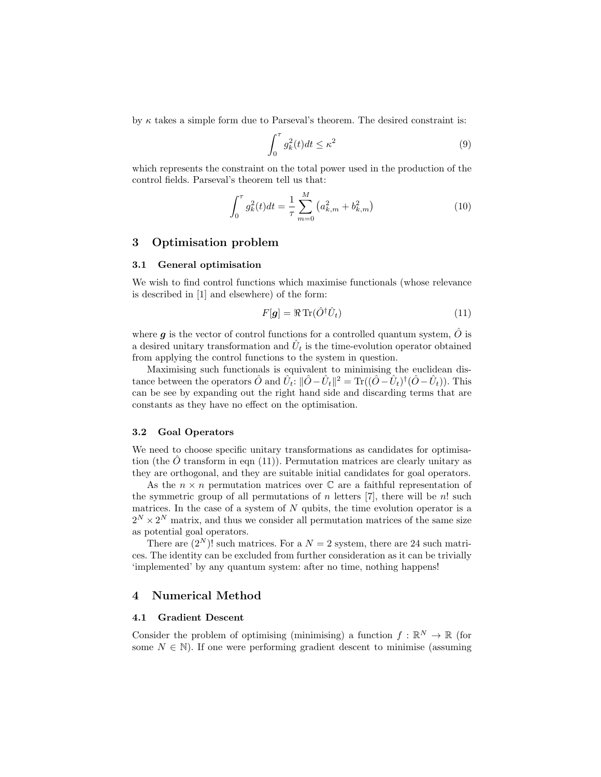by  $\kappa$  takes a simple form due to Parseval's theorem. The desired constraint is:

$$
\int_0^\tau g_k^2(t)dt \le \kappa^2 \tag{9}
$$

which represents the constraint on the total power used in the production of the control fields. Parseval's theorem tell us that:

$$
\int_0^{\tau} g_k^2(t)dt = \frac{1}{\tau} \sum_{m=0}^{M} \left( a_{k,m}^2 + b_{k,m}^2 \right)
$$
 (10)

## 3 Optimisation problem

#### 3.1 General optimisation

We wish to find control functions which maximise functionals (whose relevance is described in [1] and elsewhere) of the form:

$$
F[\mathbf{g}] = \Re \operatorname{Tr}(\hat{O}^{\dagger} \hat{U}_t)
$$
\n(11)

where g is the vector of control functions for a controlled quantum system,  $\hat{O}$  is a desired unitary transformation and  $\hat{U}_t$  is the time-evolution operator obtained from applying the control functions to the system in question.

Maximising such functionals is equivalent to minimising the euclidean distance between the operators  $\hat{O}$  and  $\hat{U}_t$ :  $\|\hat{O} - \hat{U}_t\|^2 = \text{Tr}((\hat{O} - \hat{U}_t)^{\dagger}(\hat{O} - \hat{U}_t))$ . This can be see by expanding out the right hand side and discarding terms that are constants as they have no effect on the optimisation.

#### 3.2 Goal Operators

We need to choose specific unitary transformations as candidates for optimisation (the  $\hat{O}$  transform in eqn (11)). Permutation matrices are clearly unitary as they are orthogonal, and they are suitable initial candidates for goal operators.

As the  $n \times n$  permutation matrices over  $\mathbb C$  are a faithful representation of the symmetric group of all permutations of  $n$  letters [7], there will be  $n!$  such matrices. In the case of a system of  $N$  qubits, the time evolution operator is a  $2^N \times 2^N$  matrix, and thus we consider all permutation matrices of the same size as potential goal operators.

There are  $(2^N)!$  such matrices. For a  $N = 2$  system, there are 24 such matrices. The identity can be excluded from further consideration as it can be trivially 'implemented' by any quantum system: after no time, nothing happens!

## 4 Numerical Method

#### 4.1 Gradient Descent

Consider the problem of optimising (minimising) a function  $f : \mathbb{R}^N \to \mathbb{R}$  (for some  $N \in \mathbb{N}$ ). If one were performing gradient descent to minimise (assuming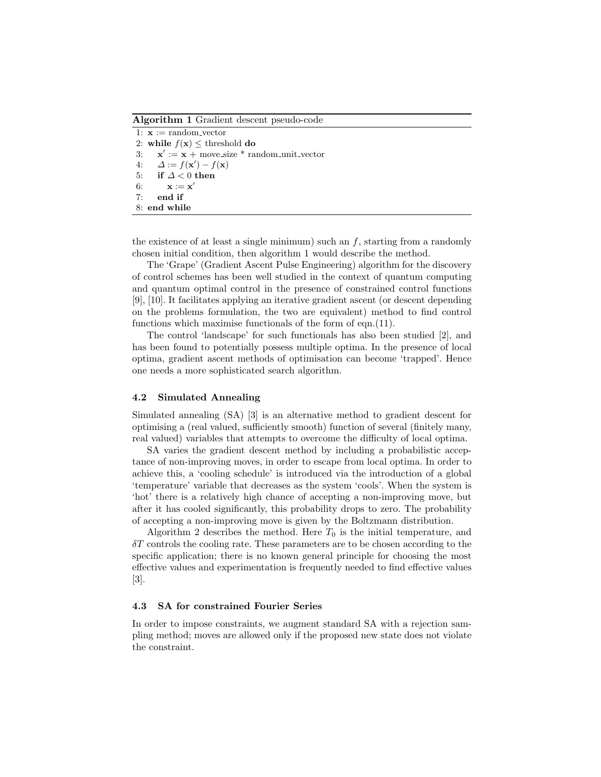Algorithm 1 Gradient descent pseudo-code

1:  $x :=$  random vector 2: while  $f(\mathbf{x}) \leq$  threshold do 3:  $\mathbf{x}' := \mathbf{x} + \text{move} \cdot \text{size} * \text{random\_unit\_vector}$ 4:  $\Delta := f(\mathbf{x}') - f(\mathbf{x})$ 5: if  $\Delta < 0$  then 6:  $\mathbf{x} := \mathbf{x}'$ 7: end if 8: end while

the existence of at least a single minimum) such an  $f$ , starting from a randomly chosen initial condition, then algorithm 1 would describe the method.

The 'Grape' (Gradient Ascent Pulse Engineering) algorithm for the discovery of control schemes has been well studied in the context of quantum computing and quantum optimal control in the presence of constrained control functions [9], [10]. It facilitates applying an iterative gradient ascent (or descent depending on the problems formulation, the two are equivalent) method to find control functions which maximise functionals of the form of eqn.(11).

The control 'landscape' for such functionals has also been studied [2], and has been found to potentially possess multiple optima. In the presence of local optima, gradient ascent methods of optimisation can become 'trapped'. Hence one needs a more sophisticated search algorithm.

#### 4.2 Simulated Annealing

Simulated annealing (SA) [3] is an alternative method to gradient descent for optimising a (real valued, sufficiently smooth) function of several (finitely many, real valued) variables that attempts to overcome the difficulty of local optima.

SA varies the gradient descent method by including a probabilistic acceptance of non-improving moves, in order to escape from local optima. In order to achieve this, a 'cooling schedule' is introduced via the introduction of a global 'temperature' variable that decreases as the system 'cools'. When the system is 'hot' there is a relatively high chance of accepting a non-improving move, but after it has cooled significantly, this probability drops to zero. The probability of accepting a non-improving move is given by the Boltzmann distribution.

Algorithm 2 describes the method. Here  $T_0$  is the initial temperature, and  $\delta T$  controls the cooling rate. These parameters are to be chosen according to the specific application; there is no known general principle for choosing the most effective values and experimentation is frequently needed to find effective values [3].

#### 4.3 SA for constrained Fourier Series

In order to impose constraints, we augment standard SA with a rejection sampling method; moves are allowed only if the proposed new state does not violate the constraint.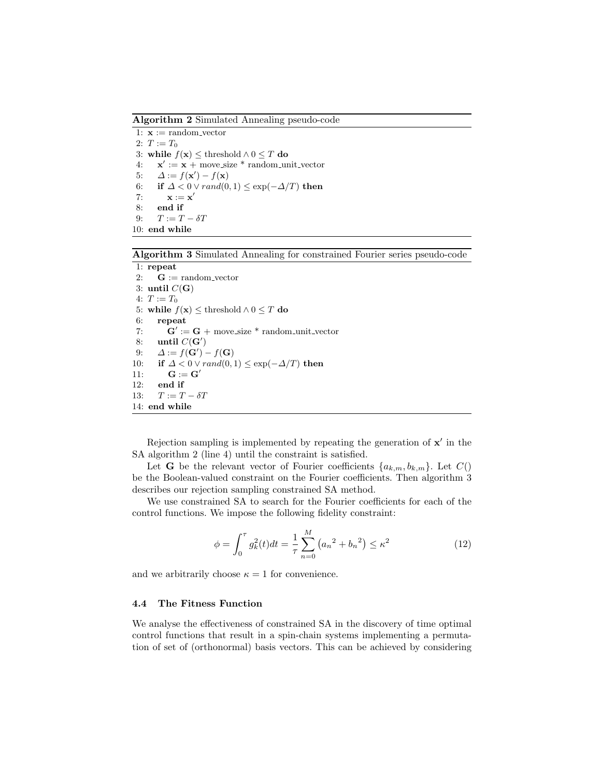Algorithm 2 Simulated Annealing pseudo-code

1:  $\mathbf{x} :=$  random\_vector 2:  $T := T_0$ 3: while  $f(\mathbf{x})$  ≤ threshold ∧ 0 ≤ T do 4:  $\mathbf{x}' := \mathbf{x} + \text{move} \cdot \text{size} * \text{random\_unit\_vector}$ 5:  $\Delta := f(\mathbf{x}') - f(\mathbf{x})$ 6: if  $\Delta < 0 \vee rand(0, 1) \leq \exp(-\Delta/T)$  then 7:  $\mathbf{x} := \mathbf{x}'$ 8: end if 9:  $T := T - \delta T$ 10: end while

Algorithm 3 Simulated Annealing for constrained Fourier series pseudo-code

1: repeat 2:  $\mathbf{G} := \text{random\_vector}$ 3: until  $C(G)$ 4:  $T := T_0$ 5: while  $f(\mathbf{x})$  ≤ threshold ∧ 0 ≤ T do 6: repeat 7:  $\mathbf{G}' := \mathbf{G} + \text{move\_size} * \text{random\_unit\_vector}$ 8: until  $C(\mathbf{G}')$ 9:  $\Delta := f(\mathbf{G}') - f(\mathbf{G})$ 10: if  $\Delta < 0 \vee rand(0,1) \leq \exp(-\Delta/T)$  then 11:  $\mathbf{G} := \mathbf{G}'$ 12: end if 13:  $T := T - \delta T$ 14: end while

Rejection sampling is implemented by repeating the generation of  $x'$  in the SA algorithm 2 (line 4) until the constraint is satisfied.

Let **G** be the relevant vector of Fourier coefficients  $\{a_{k,m}, b_{k,m}\}$ . Let  $C()$ be the Boolean-valued constraint on the Fourier coefficients. Then algorithm 3 describes our rejection sampling constrained SA method.

We use constrained SA to search for the Fourier coefficients for each of the control functions. We impose the following fidelity constraint:

$$
\phi = \int_0^{\tau} g_k^2(t)dt = \frac{1}{\tau} \sum_{n=0}^{M} (a_n^2 + b_n^2) \le \kappa^2
$$
 (12)

and we arbitrarily choose  $\kappa = 1$  for convenience.

## 4.4 The Fitness Function

We analyse the effectiveness of constrained SA in the discovery of time optimal control functions that result in a spin-chain systems implementing a permutation of set of (orthonormal) basis vectors. This can be achieved by considering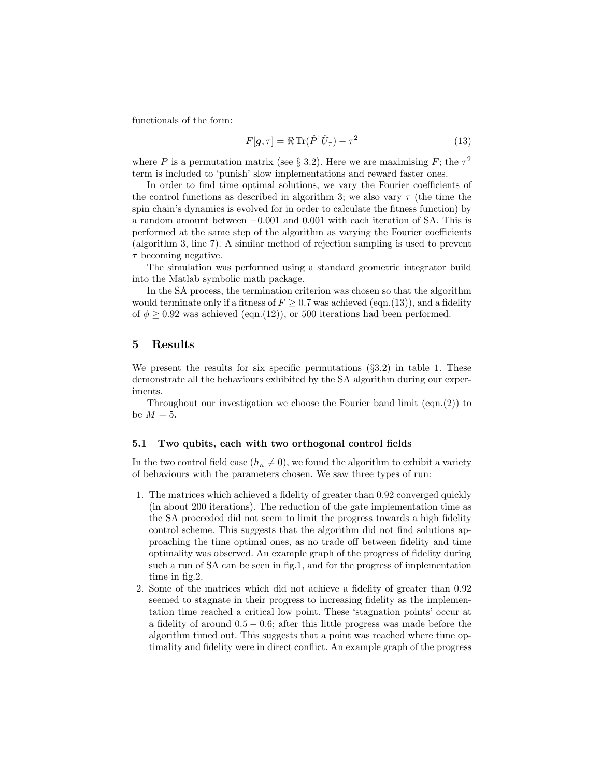functionals of the form:

$$
F[\mathbf{g}, \tau] = \Re \operatorname{Tr}(\hat{P}^{\dagger} \hat{U}_{\tau}) - \tau^2
$$
\n(13)

where P is a permutation matrix (see § 3.2). Here we are maximising F; the  $\tau^2$ term is included to 'punish' slow implementations and reward faster ones.

In order to find time optimal solutions, we vary the Fourier coefficients of the control functions as described in algorithm 3; we also vary  $\tau$  (the time the spin chain's dynamics is evolved for in order to calculate the fitness function) by a random amount between −0.001 and 0.001 with each iteration of SA. This is performed at the same step of the algorithm as varying the Fourier coefficients (algorithm 3, line 7). A similar method of rejection sampling is used to prevent  $\tau$  becoming negative.

The simulation was performed using a standard geometric integrator build into the Matlab symbolic math package.

In the SA process, the termination criterion was chosen so that the algorithm would terminate only if a fitness of  $F \geq 0.7$  was achieved (eqn.(13)), and a fidelity of  $\phi \geq 0.92$  was achieved (eqn.(12)), or 500 iterations had been performed.

## 5 Results

We present the results for six specific permutations  $(\S 3.2)$  in table 1. These demonstrate all the behaviours exhibited by the SA algorithm during our experiments.

Throughout our investigation we choose the Fourier band limit  $(eqn. (2))$  to be  $M = 5$ .

#### 5.1 Two qubits, each with two orthogonal control fields

In the two control field case  $(h_n \neq 0)$ , we found the algorithm to exhibit a variety of behaviours with the parameters chosen. We saw three types of run:

- 1. The matrices which achieved a fidelity of greater than 0.92 converged quickly (in about 200 iterations). The reduction of the gate implementation time as the SA proceeded did not seem to limit the progress towards a high fidelity control scheme. This suggests that the algorithm did not find solutions approaching the time optimal ones, as no trade off between fidelity and time optimality was observed. An example graph of the progress of fidelity during such a run of SA can be seen in fig.1, and for the progress of implementation time in fig.2.
- 2. Some of the matrices which did not achieve a fidelity of greater than 0.92 seemed to stagnate in their progress to increasing fidelity as the implementation time reached a critical low point. These 'stagnation points' occur at a fidelity of around  $0.5 - 0.6$ ; after this little progress was made before the algorithm timed out. This suggests that a point was reached where time optimality and fidelity were in direct conflict. An example graph of the progress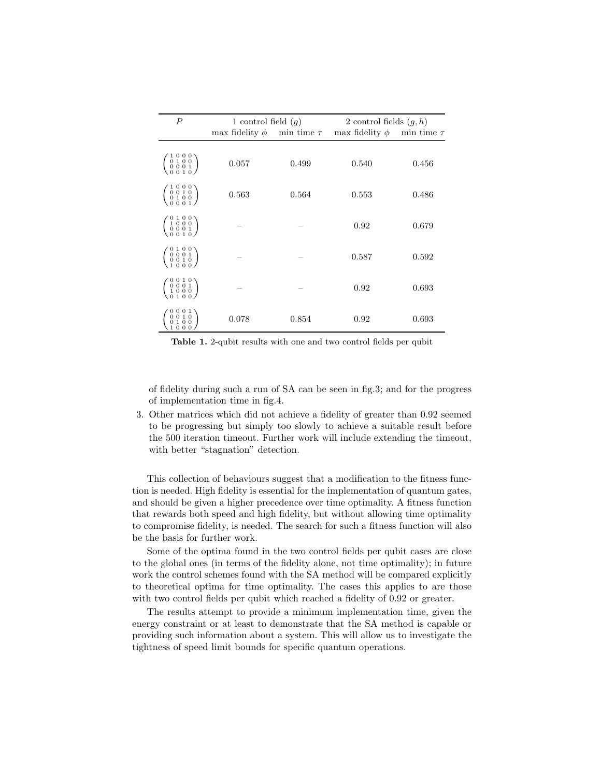| $\overline{P}$                                                                                                                                           | 1 control field $(q)$ |                 | 2 control fields $(q, h)$ |                 |
|----------------------------------------------------------------------------------------------------------------------------------------------------------|-----------------------|-----------------|---------------------------|-----------------|
|                                                                                                                                                          | max fidelity $\phi$   | min time $\tau$ | max fidelity $\phi$       | min time $\tau$ |
| $\left(\begin{smallmatrix} 1 & 0 & 0 & 0 \\ 0 & 1 & 0 & 0 \\ 0 & 0 & 0 & 1 \\ 0 & 0 & 0 & 1 \end{smallmatrix}\right)$                                    | 0.057                 | 0.499           | 0.540                     | 0.456           |
| $\left(\begin{array}{rrr} 1 & 0 & 0 & 0 \\ 0 & 0 & 1 & 0 \\ 0 & 1 & 0 & 0 \\ 0 & 0 & 0 & 1 \end{array}\right)$                                           | 0.563                 | 0.564           | 0.553                     | 0.486           |
| $\left(\begin{array}{rrr} 0 & 1 & 0 & 0 \\ 1 & 0 & 0 & 0 \\ 0 & 0 & 0 & 1 \\ 0 & 0 & 1 & 0 \end{array}\right)$                                           |                       |                 | 0.92                      | 0.679           |
| $\left(\begin{array}{l} {0\  \  1\  \  0\  \  0} \\ {0\  \  0\  \  0\  \  1} \\ {0\  \  0\  \  1\  \  0} \\ {1\  \  0\  \  0\  \  0} \end{array}\right)$ |                       |                 | 0.587                     | 0.592           |
| $\left(\begin{array}{rrr} 0 & 0 & 1 & 0 \\ 0 & 0 & 0 & 1 \\ 1 & 0 & 0 & 0 \\ 0 & 1 & 0 & 0 \end{array}\right)$                                           |                       |                 | 0.92                      | 0.693           |
| $\left(\begin{smallmatrix} \tilde{0} & \tilde{0} & \tilde{1} & \tilde{0} \\ 0 & 1 & 0 & 0 \\ 1 & 0 & 0 & 0 \end{smallmatrix}\right)$                     | 0.078                 | 0.854           | 0.92                      | 0.693           |

Table 1. 2-qubit results with one and two control fields per qubit

of fidelity during such a run of SA can be seen in fig.3; and for the progress of implementation time in fig.4.

3. Other matrices which did not achieve a fidelity of greater than 0.92 seemed to be progressing but simply too slowly to achieve a suitable result before the 500 iteration timeout. Further work will include extending the timeout, with better "stagnation" detection.

This collection of behaviours suggest that a modification to the fitness function is needed. High fidelity is essential for the implementation of quantum gates, and should be given a higher precedence over time optimality. A fitness function that rewards both speed and high fidelity, but without allowing time optimality to compromise fidelity, is needed. The search for such a fitness function will also be the basis for further work.

Some of the optima found in the two control fields per qubit cases are close to the global ones (in terms of the fidelity alone, not time optimality); in future work the control schemes found with the SA method will be compared explicitly to theoretical optima for time optimality. The cases this applies to are those with two control fields per qubit which reached a fidelity of 0.92 or greater.

The results attempt to provide a minimum implementation time, given the energy constraint or at least to demonstrate that the SA method is capable or providing such information about a system. This will allow us to investigate the tightness of speed limit bounds for specific quantum operations.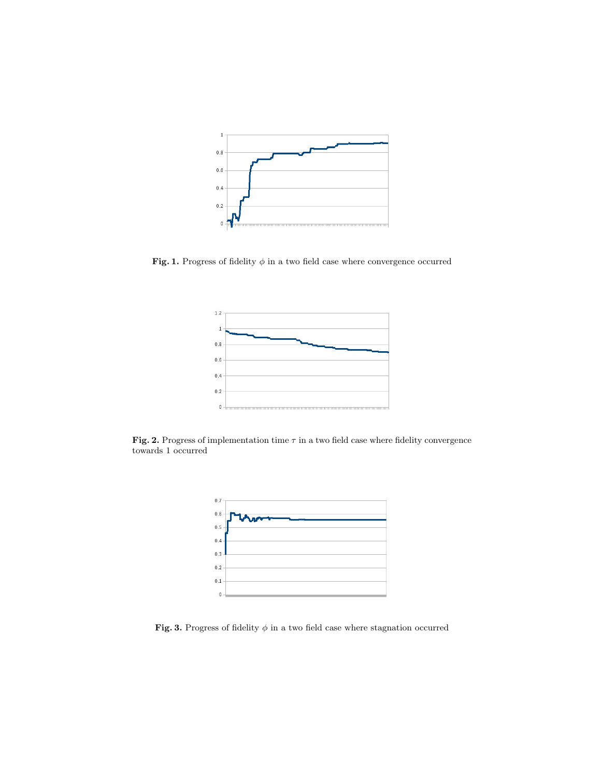

Fig. 1. Progress of fidelity  $\phi$  in a two field case where convergence occurred



Fig. 2. Progress of implementation time  $\tau$  in a two field case where fidelity convergence towards 1 occurred



Fig. 3. Progress of fidelity  $\phi$  in a two field case where stagnation occurred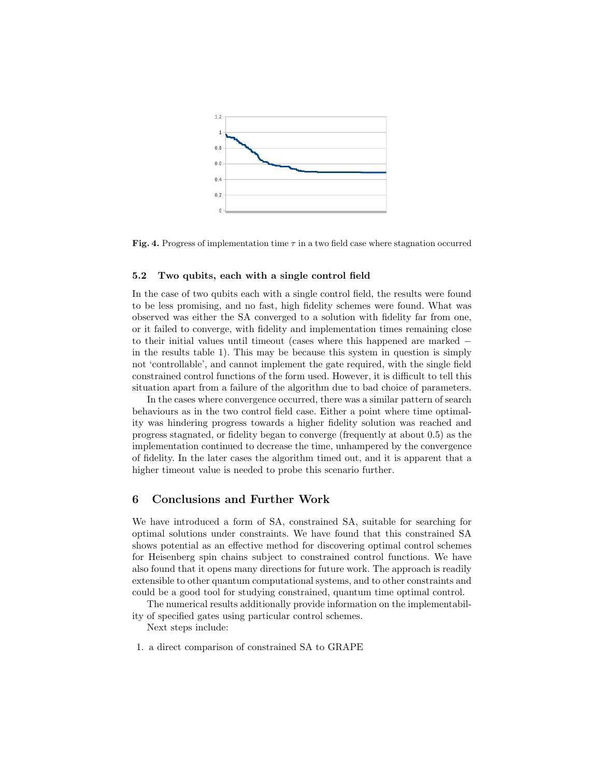

Fig. 4. Progress of implementation time  $\tau$  in a two field case where stagnation occurred

#### 5.2 Two qubits, each with a single control field

In the case of two qubits each with a single control field, the results were found to be less promising, and no fast, high fidelity schemes were found. What was observed was either the SA converged to a solution with fidelity far from one, or it failed to converge, with fidelity and implementation times remaining close to their initial values until timeout (cases where this happened are marked − in the results table 1). This may be because this system in question is simply not 'controllable', and cannot implement the gate required, with the single field constrained control functions of the form used. However, it is difficult to tell this situation apart from a failure of the algorithm due to bad choice of parameters.

In the cases where convergence occurred, there was a similar pattern of search behaviours as in the two control field case. Either a point where time optimality was hindering progress towards a higher fidelity solution was reached and progress stagnated, or fidelity began to converge (frequently at about 0.5) as the implementation continued to decrease the time, unhampered by the convergence of fidelity. In the later cases the algorithm timed out, and it is apparent that a higher timeout value is needed to probe this scenario further.

## 6 Conclusions and Further Work

We have introduced a form of SA, constrained SA, suitable for searching for optimal solutions under constraints. We have found that this constrained SA shows potential as an effective method for discovering optimal control schemes for Heisenberg spin chains subject to constrained control functions. We have also found that it opens many directions for future work. The approach is readily extensible to other quantum computational systems, and to other constraints and could be a good tool for studying constrained, quantum time optimal control.

The numerical results additionally provide information on the implementability of specified gates using particular control schemes.

Next steps include:

1. a direct comparison of constrained SA to GRAPE